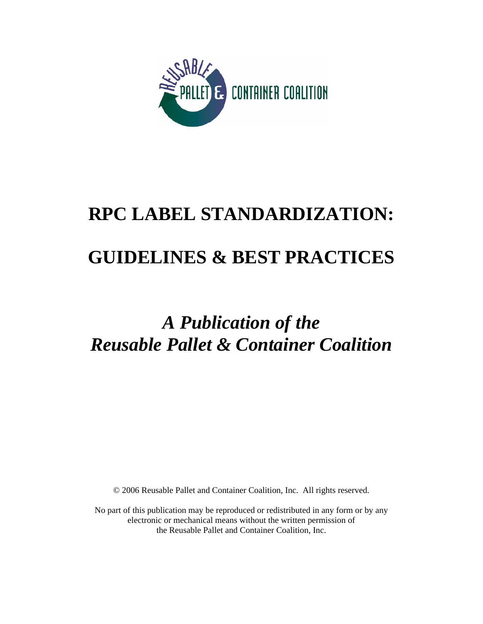

# **RPC LABEL STANDARDIZATION: GUIDELINES & BEST PRACTICES**

## *A Publication of the Reusable Pallet & Container Coalition*

© 2006 Reusable Pallet and Container Coalition, Inc. All rights reserved.

No part of this publication may be reproduced or redistributed in any form or by any electronic or mechanical means without the written permission of the Reusable Pallet and Container Coalition, Inc.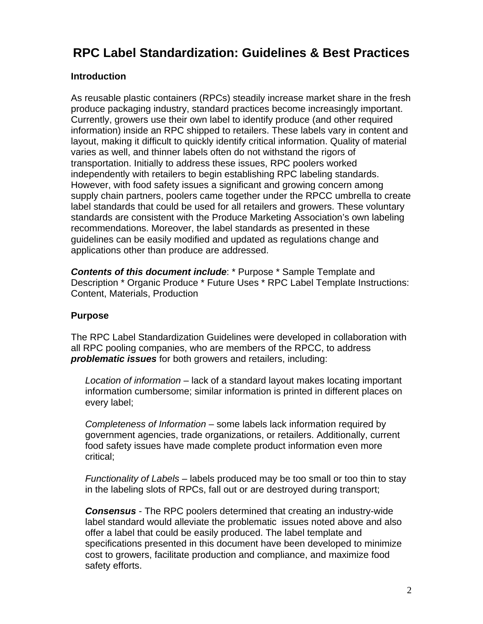### **RPC Label Standardization: Guidelines & Best Practices**

#### **Introduction**

As reusable plastic containers (RPCs) steadily increase market share in the fresh produce packaging industry, standard practices become increasingly important. Currently, growers use their own label to identify produce (and other required information) inside an RPC shipped to retailers. These labels vary in content and layout, making it difficult to quickly identify critical information. Quality of material varies as well, and thinner labels often do not withstand the rigors of transportation. Initially to address these issues, RPC poolers worked independently with retailers to begin establishing RPC labeling standards. However, with food safety issues a significant and growing concern among supply chain partners, poolers came together under the RPCC umbrella to create label standards that could be used for all retailers and growers. These voluntary standards are consistent with the Produce Marketing Association's own labeling recommendations. Moreover, the label standards as presented in these guidelines can be easily modified and updated as regulations change and applications other than produce are addressed.

*Contents of this document include*: \* Purpose \* Sample Template and Description \* Organic Produce \* Future Uses \* RPC Label Template Instructions: Content, Materials, Production

#### **Purpose**

The RPC Label Standardization Guidelines were developed in collaboration with all RPC pooling companies, who are members of the RPCC, to address *problematic issues* for both growers and retailers, including:

*Location of information* – lack of a standard layout makes locating important information cumbersome; similar information is printed in different places on every label;

*Completeness of Information* – some labels lack information required by government agencies, trade organizations, or retailers. Additionally, current food safety issues have made complete product information even more critical;

*Functionality of Labels –* labels produced may be too small or too thin to stay in the labeling slots of RPCs, fall out or are destroyed during transport;

*Consensus* - The RPC poolers determined that creating an industry-wide label standard would alleviate the problematic issues noted above and also offer a label that could be easily produced. The label template and specifications presented in this document have been developed to minimize cost to growers, facilitate production and compliance, and maximize food safety efforts.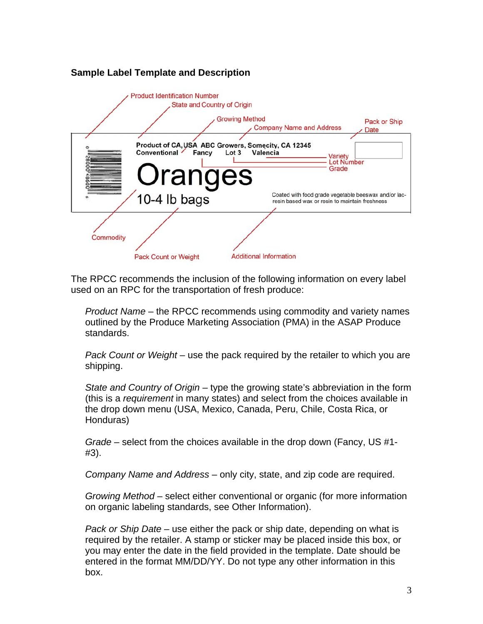#### **Sample Label Template and Description**



The RPCC recommends the inclusion of the following information on every label used on an RPC for the transportation of fresh produce:

*Product Name* – the RPCC recommends using commodity and variety names outlined by the Produce Marketing Association (PMA) in the ASAP Produce standards.

*Pack Count or Weight* – use the pack required by the retailer to which you are shipping.

*State and Country of Origin* – type the growing state's abbreviation in the form (this is a *requirement* in many states) and select from the choices available in the drop down menu (USA, Mexico, Canada, Peru, Chile, Costa Rica, or Honduras)

*Grade* – select from the choices available in the drop down (Fancy, US #1- #3).

*Company Name and Address* – only city, state, and zip code are required.

*Growing Method* – select either conventional or organic (for more information on organic labeling standards, see Other Information).

*Pack or Ship Date* – use either the pack or ship date, depending on what is required by the retailer. A stamp or sticker may be placed inside this box, or you may enter the date in the field provided in the template. Date should be entered in the format MM/DD/YY. Do not type any other information in this box.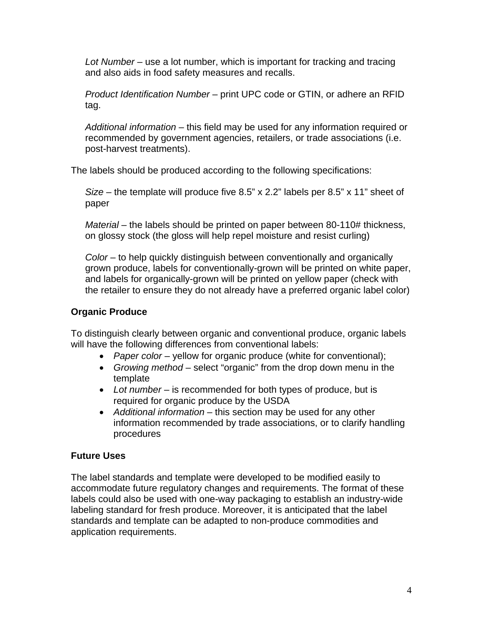*Lot Number* – use a lot number, which is important for tracking and tracing and also aids in food safety measures and recalls.

*Product Identification Number* – print UPC code or GTIN, or adhere an RFID tag.

*Additional information* – this field may be used for any information required or recommended by government agencies, retailers, or trade associations (i.e. post-harvest treatments).

The labels should be produced according to the following specifications:

*Size* – the template will produce five 8.5" x 2.2" labels per 8.5" x 11" sheet of paper

*Material* – the labels should be printed on paper between 80-110# thickness, on glossy stock (the gloss will help repel moisture and resist curling)

*Color* – to help quickly distinguish between conventionally and organically grown produce, labels for conventionally-grown will be printed on white paper, and labels for organically-grown will be printed on yellow paper (check with the retailer to ensure they do not already have a preferred organic label color)

#### **Organic Produce**

To distinguish clearly between organic and conventional produce, organic labels will have the following differences from conventional labels:

- *Paper color* yellow for organic produce (white for conventional);
- *Growing method* select "organic" from the drop down menu in the template
- *Lot number* is recommended for both types of produce, but is required for organic produce by the USDA
- *Additional information* this section may be used for any other information recommended by trade associations, or to clarify handling procedures

#### **Future Uses**

The label standards and template were developed to be modified easily to accommodate future regulatory changes and requirements. The format of these labels could also be used with one-way packaging to establish an industry-wide labeling standard for fresh produce. Moreover, it is anticipated that the label standards and template can be adapted to non-produce commodities and application requirements.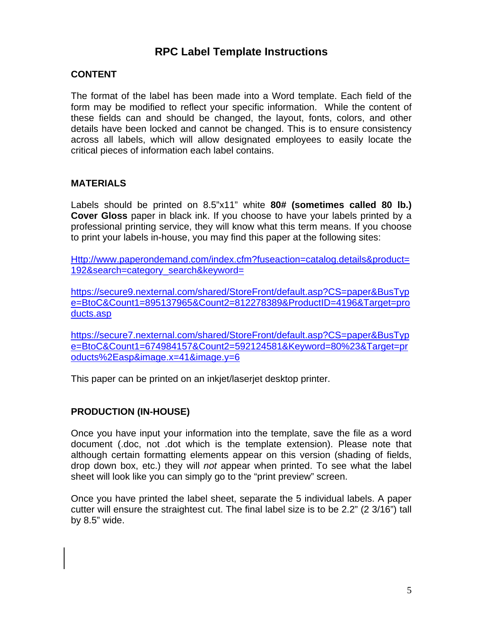#### **RPC Label Template Instructions**

#### **CONTENT**

The format of the label has been made into a Word template. Each field of the form may be modified to reflect your specific information. While the content of these fields can and should be changed, the layout, fonts, colors, and other details have been locked and cannot be changed. This is to ensure consistency across all labels, which will allow designated employees to easily locate the critical pieces of information each label contains.

#### **MATERIALS**

Labels should be printed on 8.5"x11" white **80# (sometimes called 80 lb.) Cover Gloss** paper in black ink. If you choose to have your labels printed by a professional printing service, they will know what this term means. If you choose to print your labels in-house, you may find this paper at the following sites:

Http://www.paperondemand.com/index.cfm?fuseaction=catalog.details&product= 192&search=category\_search&keyword=

https://secure9.nexternal.com/shared/StoreFront/default.asp?CS=paper&BusTyp e=BtoC&Count1=895137965&Count2=812278389&ProductID=4196&Target=pro ducts.asp

https://secure7.nexternal.com/shared/StoreFront/default.asp?CS=paper&BusTyp e=BtoC&Count1=674984157&Count2=592124581&Keyword=80%23&Target=pr oducts%2Easp&image.x=41&image.y=6

This paper can be printed on an inkjet/laserjet desktop printer.

#### **PRODUCTION (IN-HOUSE)**

Once you have input your information into the template, save the file as a word document (.doc, not .dot which is the template extension). Please note that although certain formatting elements appear on this version (shading of fields, drop down box, etc.) they will *not* appear when printed. To see what the label sheet will look like you can simply go to the "print preview" screen.

Once you have printed the label sheet, separate the 5 individual labels. A paper cutter will ensure the straightest cut. The final label size is to be 2.2" (2 3/16") tall by 8.5" wide.